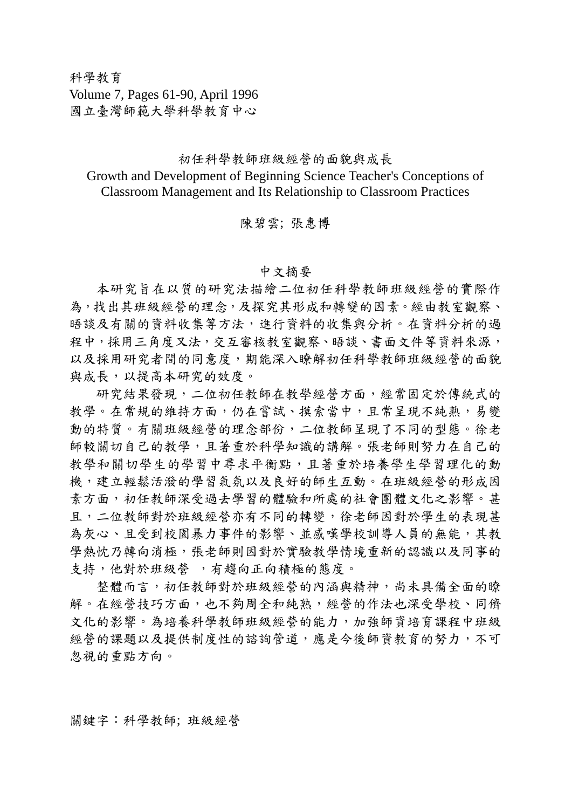科學教育 Volume 7, Pages 61-90, April 1996 國立臺灣師範大學科學教育中心

## 初任科學教師班級經營的面貌與成長 Growth and Development of Beginning Science Teacher's Conceptions of Classroom Management and Its Relationship to Classroom Practices

## 陳碧雲; 張惠博

## 中文摘要

 本研究旨在以質的研究法描繪二位初任科學教師班級經營的實際作 為,找出其班級經營的理念,及探究其形成和轉變的因素。經由教室觀察、 晤談及有關的資料收集等方法,進行資料的收集與分析。在資料分析的過 程中,採用三角度又法,交互審核教室觀察、晤談、書面文件等資料來源, 以及採用研究者間的同意度,期能深入瞭解初任科學教師班級經營的面貌 與成長,以提高本研究的效度。

 研究結果發現,二位初任教師在教學經營方面,經常固定於傳統式的 教學。在常規的維持方面,仍在嘗試、摸索當中,且常呈現不純熟,易變 動的特質。有關班級經營的理念部份,二位教師呈現了不同的型態。徐老 師較關切自己的教學,且著重於科學知識的講解。張老師則努力在自己的 教學和關切學生的學習中尋求平衡點,且著重於培養學生學習理化的動 機,建立輕鬆活潑的學習氣氛以及良好的師生互動。在班級經營的形成因 素方面,初任教師深受過去學習的體驗和所處的社會團體文化之影響。甚 且,二位教師對於班級經營亦有不同的轉變,徐老師因對於學生的表現甚 為灰心、且受到校園暴力事件的影響、並感嘆學校訓導人員的無能,其教 學熱忱乃轉向消極,張老師則因對於實驗教學情境重新的認識以及同事的 支持,他對於班級營,有趨向正向積極的態度。

 整體而言,初任教師對於班級經營的內涵與精神,尚未具備全面的瞭 解。在經營技巧方面,也不夠周全和純熟,經營的作法也深受學校、同儕 文化的影響。為培養科學教師班級經營的能力,加強師資培育課程中班級 經營的課題以及提供制度性的諮詢管道,應是今後師資教育的努力,不可 忽視的重點方向。

關鍵字:科學教師; 班級經營